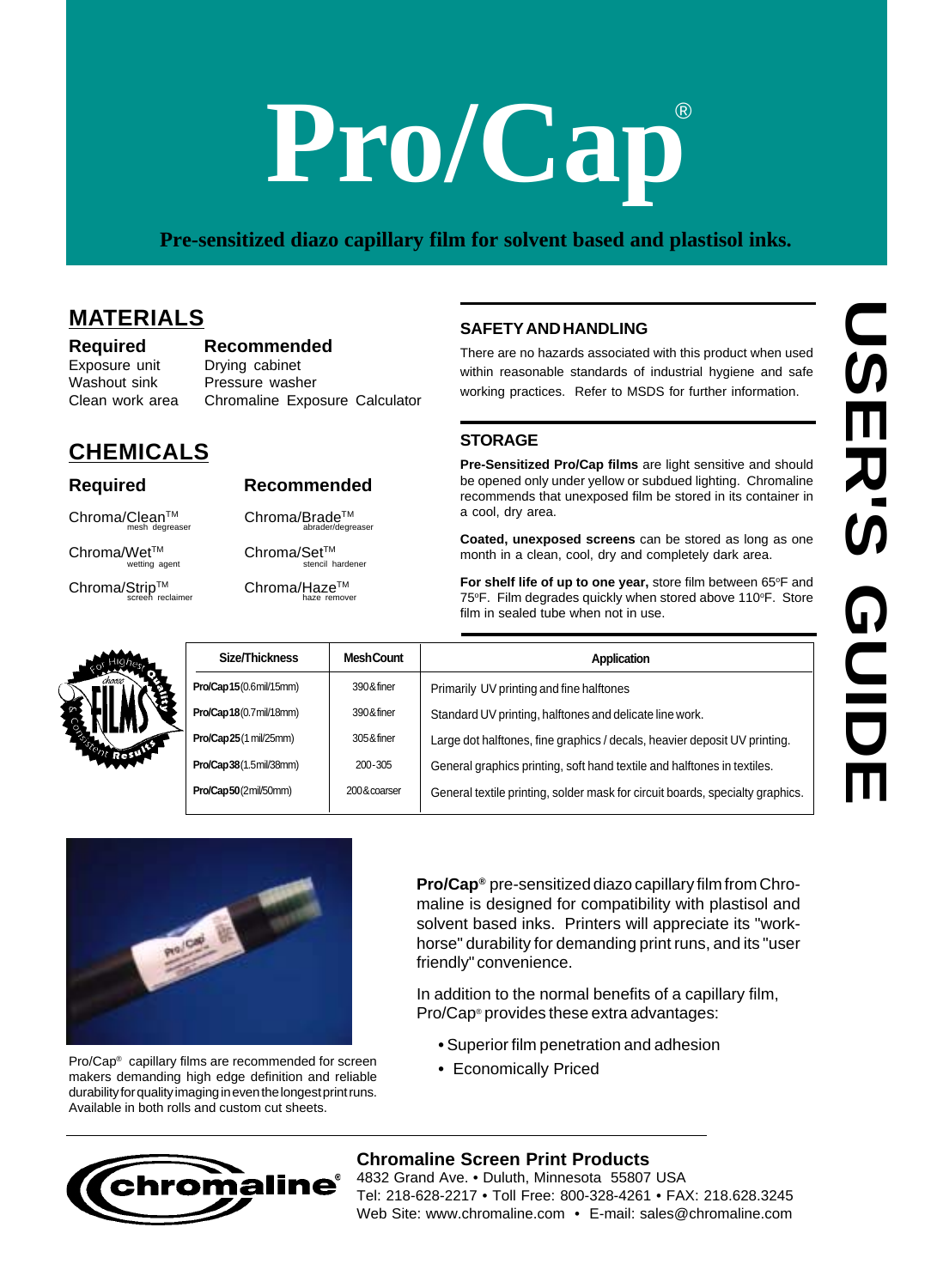# **Pro/Cap**

#### **Pre-sensitized diazo capillary film for solvent based and plastisol inks.**

#### **MATERIALS**

**CHEMICALS**

**Required Recommended** Exposure unit Drying cabinet Washout sink Pressure washer Clean work area Chromaline Exposure Calculator

#### **SAFETY AND HANDLING**

#### **STORAGE**

| choose | Size/Thickness         |  |
|--------|------------------------|--|
|        | Pro/Cap15(0.6mil/15mm) |  |
|        | Pro/Cap18(0.7mil/18mm) |  |
|        | Pro/Cap25(1 mil/25mm)  |  |
|        | Pro/Cap38(1.5mil/38mm) |  |
|        |                        |  |

**Required Recommended**

Chroma/Clean<sup>TM</sup> Chroma/Brade<sup>TM</sup><br>
mesh degreaser<br>
abrader/degre

 $\mathsf{Chroma/Wet^{TM}}_{\text{wetting agent}}$  Chroma/Set<sup>TM</sup>

Chroma/Strip™ Chroma/Haze<sup>™</sup>

screen reclaimer **haze** remover

|                                                                                                                                              |                   | e-sensitized diazo capillary film for solvent based and plastisol inks.                                                                                                                                                                                              |
|----------------------------------------------------------------------------------------------------------------------------------------------|-------------------|----------------------------------------------------------------------------------------------------------------------------------------------------------------------------------------------------------------------------------------------------------------------|
| -S<br>Recommended<br>Drying cabinet<br>Pressure washer<br>Chromaline Exposure Calculator                                                     |                   | <b>SAFETY AND HANDLING</b><br>There are no hazards associated with this product when used<br>within reasonable standards of industrial hygiene and safe<br>working practices. Refer to MSDS for further information.                                                 |
|                                                                                                                                              |                   | <b>STORAGE</b>                                                                                                                                                                                                                                                       |
| LS<br>Recommended<br>Chroma/Brade™                                                                                                           | abrader/degreaser | Pre-Sensitized Pro/Cap films are light sensitive and should<br>be opened only under yellow or subdued lighting. Chromaline<br>recommends that unexposed film be stored in its container in<br>a cool, dry area.                                                      |
| Chroma/Set™                                                                                                                                  |                   | Coated, unexposed screens can be stored as long as one<br>month in a clean, cool, dry and completely dark area.                                                                                                                                                      |
| Chroma/Haze™<br>haze remover                                                                                                                 | stencil hardener  | For shelf life of up to one year, store film between 65°F and<br>75°F. Film degrades quickly when stored above 110°F. Store<br>film in sealed tube when not in use.                                                                                                  |
| Size/Thickness                                                                                                                               | <b>Mesh Count</b> | Application                                                                                                                                                                                                                                                          |
| Pro/Cap15(0.6mil/15mm)                                                                                                                       | 390&finer         | Primarily UV printing and fine halftones                                                                                                                                                                                                                             |
| Pro/Cap18(0.7 mil/18mm)                                                                                                                      | 390&finer         | Standard UV printing, halftones and delicate line work.                                                                                                                                                                                                              |
| Pro/Cap25(1 mil/25mm)                                                                                                                        | 305&finer         | Large dot halftones, fine graphics / decals, heavier deposit UV printing.                                                                                                                                                                                            |
| <b>Pro/Cap38</b> (1.5mil/38mm)                                                                                                               | 200-305           | General graphics printing, soft hand textile and halftones in textiles.                                                                                                                                                                                              |
| Pro/Cap50(2mil/50mm)                                                                                                                         | 200&coarser       | General textile printing, solder mask for circuit boards, specialty graphics.                                                                                                                                                                                        |
|                                                                                                                                              |                   | Pro/Cap® pre-sensitized diazo capillary film from Chro-<br>maline is designed for compatibility with plastisol and<br>solvent based inks. Printers will appreciate its "work-<br>horse" durability for demanding print runs, and its "user<br>friendly" convenience. |
|                                                                                                                                              |                   | In addition to the normal benefits of a capillary film,<br>Pro/Cap® provides these extra advantages:                                                                                                                                                                 |
| films are recommended for screen<br>high edge definition and reliable<br>maging in even the longest print runs.<br>Is and custom cut sheets. |                   | • Superior film penetration and adhesion<br>• Economically Priced                                                                                                                                                                                                    |



Pro/Cap ® capillary films are recommended for screen makers demanding high edge definition and reliable durability for quality imaging in even the longest print runs. Available in both rolls and custom cut sheets.

- **•** Superior film penetration and adhesion
- Economically Priced

#### **Chromaline Screen Print Products**